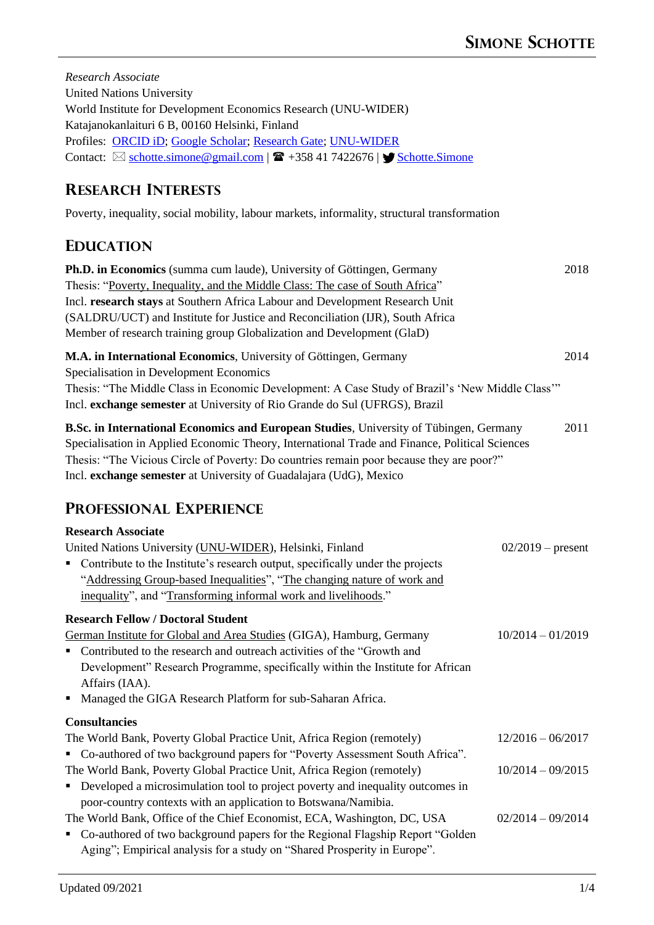| Research Associate<br><b>United Nations University</b><br>World Institute for Development Economics Research (UNU-WIDER)<br>Katajanokanlaituri 6 B, 00160 Helsinki, Finland<br>Profiles: ORCID iD; Google Scholar; Research Gate; UNU-WIDER<br>Contact: $\boxtimes$ schotte.simone@gmail.com   $\blacksquare$ +358 41 7422676   $\blacktriangledown$ Schotte.Simone                                |                     |
|----------------------------------------------------------------------------------------------------------------------------------------------------------------------------------------------------------------------------------------------------------------------------------------------------------------------------------------------------------------------------------------------------|---------------------|
| <b>RESEARCH INTERESTS</b>                                                                                                                                                                                                                                                                                                                                                                          |                     |
| Poverty, inequality, social mobility, labour markets, informality, structural transformation                                                                                                                                                                                                                                                                                                       |                     |
| <b>EDUCATION</b>                                                                                                                                                                                                                                                                                                                                                                                   |                     |
| Ph.D. in Economics (summa cum laude), University of Göttingen, Germany<br>Thesis: "Poverty, Inequality, and the Middle Class: The case of South Africa"<br>Incl. research stays at Southern Africa Labour and Development Research Unit<br>(SALDRU/UCT) and Institute for Justice and Reconciliation (IJR), South Africa<br>Member of research training group Globalization and Development (GlaD) | 2018                |
| M.A. in International Economics, University of Göttingen, Germany<br>Specialisation in Development Economics<br>Thesis: "The Middle Class in Economic Development: A Case Study of Brazil's 'New Middle Class'"<br>Incl. exchange semester at University of Rio Grande do Sul (UFRGS), Brazil                                                                                                      | 2014                |
| B.Sc. in International Economics and European Studies, University of Tübingen, Germany<br>Specialisation in Applied Economic Theory, International Trade and Finance, Political Sciences<br>Thesis: "The Vicious Circle of Poverty: Do countries remain poor because they are poor?"<br>Incl. exchange semester at University of Guadalajara (UdG), Mexico                                         | 2011                |
| <b>PROFESSIONAL EXPERIENCE</b>                                                                                                                                                                                                                                                                                                                                                                     |                     |
| <b>Research Associate</b><br>United Nations University (UNU-WIDER), Helsinki, Finland<br>Contribute to the Institute's research output, specifically under the projects<br>"Addressing Group-based Inequalities", "The changing nature of work and<br>inequality", and "Transforming informal work and livelihoods."                                                                               | $02/2019$ – present |
| <b>Research Fellow / Doctoral Student</b><br>German Institute for Global and Area Studies (GIGA), Hamburg, Germany<br>Contributed to the research and outreach activities of the "Growth and<br>Development" Research Programme, specifically within the Institute for African<br>Affairs (IAA).<br>• Managed the GIGA Research Platform for sub-Saharan Africa.                                   | $10/2014 - 01/2019$ |
| <b>Consultancies</b>                                                                                                                                                                                                                                                                                                                                                                               |                     |
| The World Bank, Poverty Global Practice Unit, Africa Region (remotely)<br>" Co-authored of two background papers for "Poverty Assessment South Africa".                                                                                                                                                                                                                                            | $12/2016 - 06/2017$ |
| The World Bank, Poverty Global Practice Unit, Africa Region (remotely)<br>• Developed a microsimulation tool to project poverty and inequality outcomes in<br>poor-country contexts with an application to Botswana/Namibia.                                                                                                                                                                       | $10/2014 - 09/2015$ |
| The World Bank, Office of the Chief Economist, ECA, Washington, DC, USA<br>• Co-authored of two background papers for the Regional Flagship Report "Golden<br>Aging"; Empirical analysis for a study on "Shared Prosperity in Europe".                                                                                                                                                             | $02/2014 - 09/2014$ |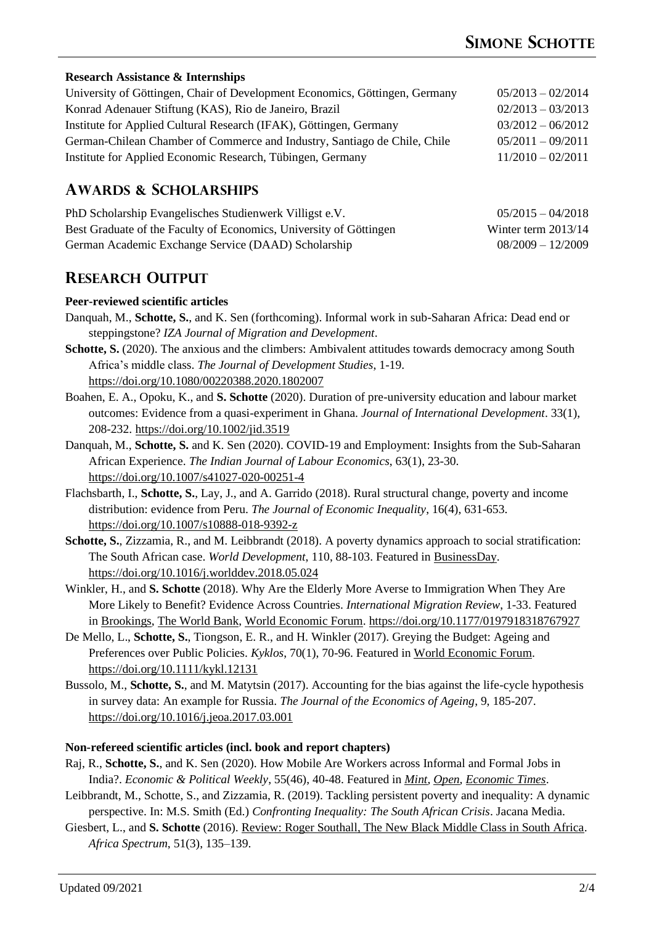### **Research Assistance & Internships**

| University of Göttingen, Chair of Development Economics, Göttingen, Germany | $05/2013 - 02/2014$ |
|-----------------------------------------------------------------------------|---------------------|
| Konrad Adenauer Stiftung (KAS), Rio de Janeiro, Brazil                      | $02/2013 - 03/2013$ |
| Institute for Applied Cultural Research (IFAK), Göttingen, Germany          | $03/2012 - 06/2012$ |
| German-Chilean Chamber of Commerce and Industry, Santiago de Chile, Chile   | $05/2011 - 09/2011$ |
| Institute for Applied Economic Research, Tübingen, Germany                  | $11/2010 - 02/2011$ |

# **AWARDS & SCHOLARSHIPS**

| PhD Scholarship Evangelisches Studienwerk Villigst e.V.            | $05/2015 - 04/2018$   |
|--------------------------------------------------------------------|-----------------------|
| Best Graduate of the Faculty of Economics, University of Göttingen | Winter term $2013/14$ |
| German Academic Exchange Service (DAAD) Scholarship                | $08/2009 - 12/2009$   |

## **RESEARCH OUTPUT**

#### **Peer-reviewed scientific articles**

- Danquah, M., **Schotte, S.**, and K. Sen (forthcoming). Informal work in sub-Saharan Africa: Dead end or steppingstone? *IZA Journal of Migration and Development*.
- **Schotte, S.** (2020). The anxious and the climbers: Ambivalent attitudes towards democracy among South Africa's middle class. *The Journal of Development Studies*, 1-19. <https://doi.org/10.1080/00220388.2020.1802007>
- Boahen, E. A., Opoku, K., and **S. Schotte** (2020). Duration of pre-university education and labour market outcomes: Evidence from a quasi-experiment in Ghana. *Journal of International Development*. 33(1), 208-232. <https://doi.org/10.1002/jid.3519>
- Danquah, M., **Schotte, S.** and K. Sen (2020). COVID-19 and Employment: Insights from the Sub-Saharan African Experience. *The Indian Journal of Labour Economics*, 63(1), 23-30. <https://doi.org/10.1007/s41027-020-00251-4>
- Flachsbarth, I., **Schotte, S.**, Lay, J., and A. Garrido (2018). Rural structural change, poverty and income distribution: evidence from Peru. *The Journal of Economic Inequality*, 16(4), 631-653. <https://doi.org/10.1007/s10888-018-9392-z>
- **Schotte, S.**, Zizzamia, R., and M. Leibbrandt (2018). A poverty dynamics approach to social stratification: The South African case. *World Development*, 110, 88-103. Featured i[n BusinessDay.](https://www.businesslive.co.za/bd/opinion/2017-10-02-stable-middle-class-in-sa-may-be-smaller-than-thought-study-shows/) <https://doi.org/10.1016/j.worlddev.2018.05.024>
- Winkler, H., and **S. Schotte** (2018). Why Are the Elderly More Averse to Immigration When They Are More Likely to Benefit? Evidence Across Countries. *International Migration Review*, 1-33. Featured in [Brookings,](https://www.brookings.edu/blog/future-development/2015/07/22/why-do-elderly-people-oppose-immigration-when-theyre-most-likely-to-benefit/) [The World Bank,](http://blogs.worldbank.org/peoplemove/age-old-debate-why-do-elderly-people-oppose-immigration) [World Economic Forum.](https://agenda.weforum.org/2015/07/why-do-older-people-oppose-immigration/)<https://doi.org/10.1177/0197918318767927>
- De Mello, L., **Schotte, S.**, Tiongson, E. R., and H. Winkler (2017). Greying the Budget: Ageing and Preferences over Public Policies. *Kyklos*, 70(1), 70-96. Featured i[n World Economic Forum.](http://www.weforum.org/agenda/2015/06/how-will-ageing-populations-affect-politics) <https://doi.org/10.1111/kykl.12131>
- Bussolo, M., **Schotte, S.**, and M. Matytsin (2017). Accounting for the bias against the life-cycle hypothesis in survey data: An example for Russia. *The Journal of the Economics of Ageing*, 9, 185-207. <https://doi.org/10.1016/j.jeoa.2017.03.001>

#### **Non-refereed scientific articles (incl. book and report chapters)**

- Raj, R., **Schotte, S.**, and K. Sen (2020). How Mobile Are Workers across Informal and Formal Jobs in India?. *Economic & Political Weekly*, 55(46), 40-48. Featured in *[Mint,](https://www.livemint.com/news/india/the-low-skill-trap-in-india-s-informal-sector-11599621271912.html) [Open,](https://openthemagazine.com/feature/global-study-indian-informal-sector-reveals-shocking-results/) [Economic Times](https://economictimes.indiatimes.com/jobs/lockdown-threatens-to-undo-a-hard-won-success-for-indias-employment-woes/articleshow/78080647.cms)*.
- Leibbrandt, M., Schotte, S., and Zizzamia, R. (2019). Tackling persistent poverty and inequality: A dynamic perspective. In: M.S. Smith (Ed.) *Confronting Inequality: The South African Crisis*. Jacana Media.
- Giesbert, L., and **S. Schotte** (2016). [Review: Roger Southall, The New Black Middle Class in South Africa.](https://journals.sub.uni-hamburg.de/giga/afsp/article/view/992) *Africa Spectrum*, 51(3), 135–139.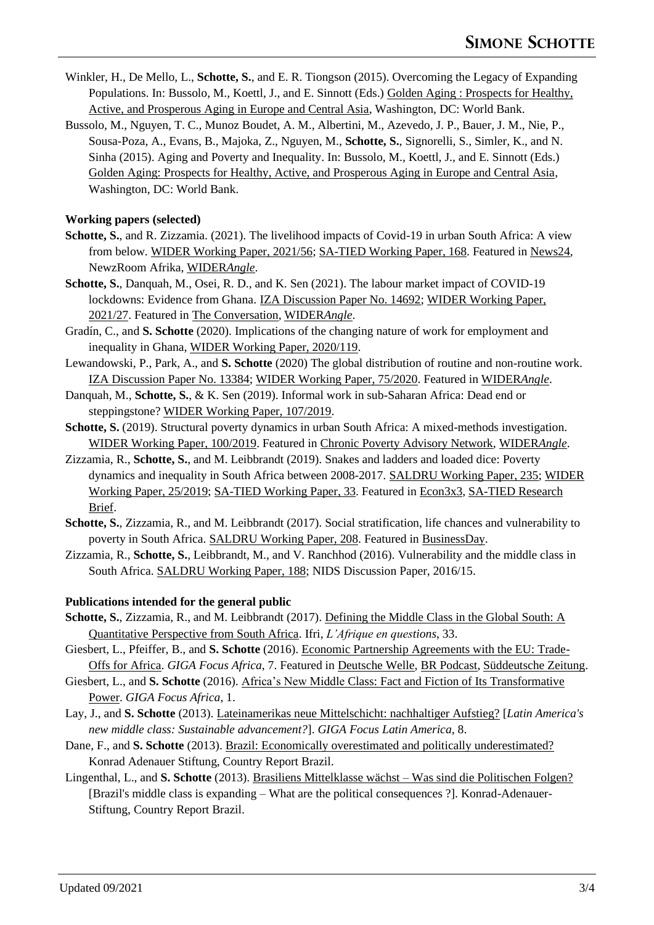- Winkler, H., De Mello, L., **Schotte, S.**, and E. R. Tiongson (2015). Overcoming the Legacy of Expanding Populations. In: Bussolo, M., Koettl, J., and E. Sinnott (Eds.) [Golden Aging : Prospects for Healthy,](https://openknowledge.worldbank.org/handle/10986/22018)  [Active, and Prosperous Aging in Europe and Central Asia,](https://openknowledge.worldbank.org/handle/10986/22018) Washington, DC: World Bank.
- Bussolo, M., Nguyen, T. C., Munoz Boudet, A. M., Albertini, M., Azevedo, J. P., Bauer, J. M., Nie, P., Sousa-Poza, A., Evans, B., Majoka, Z., Nguyen, M., **Schotte, S.**, Signorelli, S., Simler, K., and N. Sinha (2015). Aging and Poverty and Inequality. In: Bussolo, M., Koettl, J., and E. Sinnott (Eds.) [Golden Aging: Prospects for Healthy, Active, and Prosperous Aging in Europe and Central Asia,](https://openknowledge.worldbank.org/handle/10986/22018) Washington, DC: World Bank.

### **Working papers (selected)**

- **Schotte, S.**, and R. Zizzamia. (2021). The livelihood impacts of Covid-19 in urban South Africa: A view from below. [WIDER Working Paper, 2021/56; SA-TIED Working Paper, 168.](https://doi.org/10.35188/UNU-WIDER/2021/994-5) Featured i[n News24,](https://www.news24.com/news24/columnists/guestcolumn/opinion-covid-19-lays-bare-cape-towns-social-divide-deepens-underlying-inequalities-20210327) NewzRoom Afrika, [WIDER](https://www.wider.unu.edu/publication/covid-19-lays-bare-cape-town%E2%80%99s-social-divide-deepens-underlying-inequalities)*Angle*.
- **Schotte, S.**, Danquah, M., Osei, R. D., and K. Sen (2021). The labour market impact of COVID-19 lockdowns: Evidence from Ghana. [IZA Discussion Paper No. 14692;](http://ftp.iza.org/dp14692.pdf) [WIDER Working Paper,](https://doi.org/10.35188/UNU-WIDER/2021/965-5)  [2021/27.](https://doi.org/10.35188/UNU-WIDER/2021/965-5) Featured in [The Conversation,](https://theconversation.com/ghanas-lockdown-hit-vulnerable-workers-hard-what-needs-to-happen-next-time-156876) [WIDER](https://www.wider.unu.edu/publication/ghanas-lockdown-hit-vulnerable-workers-hard)*Angle*.
- Gradín, C., and **S. Schotte** (2020). Implications of the changing nature of work for employment and inequality in Ghana, [WIDER Working Paper, 2020/119.](https://doi.org/10.35188/UNU-WIDER/2020/876-4)
- Lewandowski, P., Park, A., and **S. Schotte** (2020) The global distribution of routine and non-routine work. [IZA Discussion Paper No. 13384;](https://ftp.iza.org/dp13384.pdf) [WIDER Working Paper, 75/2020.](https://doi.org/10.35188/UNU-WIDER/2020/832-0) Featured in [WIDER](https://www.wider.unu.edu/publication/global-distribution-routine-and-non-routine-work-%E2%80%93-and-why-we-should-we-care-about-it)*Angle*.
- Danquah, M., **Schotte, S.**, & K. Sen (2019). Informal work in sub-Saharan Africa: Dead end or steppingstone? [WIDER Working Paper, 107/2019.](https://doi.org/10.35188/UNU-WIDER/2019/743-9)
- **Schotte, S.** (2019). Structural poverty dynamics in urban South Africa: A mixed-methods investigation. [WIDER Working Paper, 100/2019.](https://doi.org/10.35188/UNU-WIDER/2019/736-1) Featured in [Chronic Poverty Advisory Network,](http://www.chronicpovertynetwork.org/blog/2020/4/23/covid-19-in-south-africa-temporary-shock-or-lasting-poverty-trap) [WIDER](https://www.wider.unu.edu/publication/temporary-shock-or-lasting-poverty-trap)*Angle*.
- Zizzamia, R., **Schotte, S.**, and M. Leibbrandt (2019). Snakes and ladders and loaded dice: Poverty dynamics and inequality in South Africa between 2008-2017. [SALDRU Working Paper, 235;](http://www.opensaldru.uct.ac.za/handle/11090/950) [WIDER](https://doi.org/10.35188/UNU-WIDER/2019/659-3)  [Working Paper, 25/2019;](https://doi.org/10.35188/UNU-WIDER/2019/659-3) [SA-TIED Working Paper, 33.](https://sa-tied.wider.unu.edu/article/snakes-and-ladders-and-loaded-dice-poverty-dynamics-and-inequality-in-south-africa-2008-2017) Featured in [Econ3x3,](http://www.econ3x3.org/article/socio-economic-class-south-africa-playing-snakes-and-ladders-loaded-dice) [SA-TIED Research](https://sa-tied.wider.unu.edu/article/game-snakes-and-ladders-loaded-dice-%E2%80%94-socioeconomic-class-and-poverty-in-south-africa)  [Brief.](https://sa-tied.wider.unu.edu/article/game-snakes-and-ladders-loaded-dice-%E2%80%94-socioeconomic-class-and-poverty-in-south-africa)
- **Schotte, S.**, Zizzamia, R., and M. Leibbrandt (2017). Social stratification, life chances and vulnerability to poverty in South Africa. [SALDRU Working Paper, 208.](http://hdl.handle.net/11090/883) Featured in [BusinessDay.](https://www.businesslive.co.za/bd/opinion/2017-10-02-stable-middle-class-in-sa-may-be-smaller-than-thought-study-shows/)
- Zizzamia, R., **Schotte, S.**, Leibbrandt, M., and V. Ranchhod (2016). Vulnerability and the middle class in South Africa[. SALDRU Working Paper, 188;](http://hdl.handle.net/11090/846) NIDS Discussion Paper, 2016/15.

## **Publications intended for the general public**

- Schotte, S., Zizzamia, R., and M. Leibbrandt (2017). Defining the Middle Class in the Global South: A [Quantitative Perspective from South Africa.](https://www.ifri.org/en/publications/editoriaux-de-lifri/lafrique-questions/defining-middle-class-global-south-quantitative) Ifri, *L'Afrique en questions*, 33.
- Giesbert, L., Pfeiffer, B., and **S. Schotte** (2016). [Economic Partnership Agreements with the EU: Trade-](https://www.giga-hamburg.de/de/publikationen/giga-focus/afrika)[Offs for Africa.](https://www.giga-hamburg.de/de/publikationen/giga-focus/afrika) *GIGA Focus Africa*, 7. Featured in [Deutsche Welle,](http://dw.com/p/2Tbgq) [BR Podcast,](https://www.br.de/radio/bayern2/sendungen/zuendfunk/kolumnen-sendungen/generator/freier-handel-zwischen-ungleichen-partnern-100.html) [Süddeutsche Zeitung.](http://www.sueddeutsche.de/wirtschaft/freihandel-eu-importe-torpedieren-afrikas-wirtschaft-1.3314106)
- Giesbert, L., and **S. Schotte** (2016). [Africa's New Middle Class: Fact and Fiction of Its Transformative](https://www.giga-hamburg.de/en/publication/africas-new-middle-class)  [Power.](https://www.giga-hamburg.de/en/publication/africas-new-middle-class) *GIGA Focus Africa*, 1.
- Lay, J., and **S. Schotte** (2013). [Lateinamerikas neue Mittelschicht: nachhaltiger Aufstieg?](https://www.giga-hamburg.de/de/publication/lateinamerikas-neue-mittelschicht-nachhaltiger-aufstieg) [*Latin America's new middle class: Sustainable advancement?*]. *GIGA Focus Latin America*, 8.
- Dane, F., and **S. Schotte** (2013). [Brazil: Economically overestimated and politically underestimated?](http://www.kas.de/brasilien/de/%20publications/34492/) Konrad Adenauer Stiftung, Country Report Brazil.
- Lingenthal, L., and **S. Schotte** (2013). Brasiliens Mittelklasse wächst [Was sind die Politischen Folgen?](http://www.kas.de/brasilien/de/publications/33999/) [Brazil's middle class is expanding – What are the political consequences ?]. Konrad-Adenauer-Stiftung, Country Report Brazil.